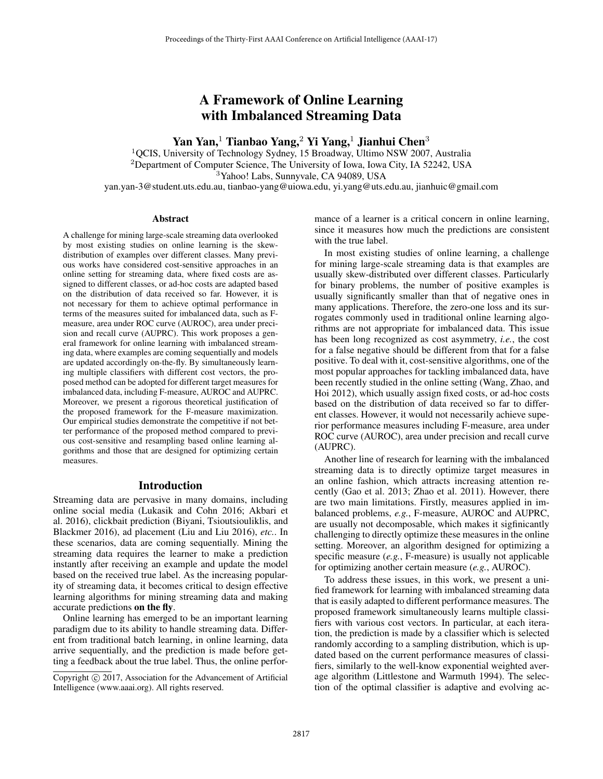# A Framework of Online Learning with Imbalanced Streaming Data

# Yan Yan,<sup>1</sup> Tianbao Yang,<sup>2</sup> Yi Yang,<sup>1</sup> Jianhui Chen<sup>3</sup>

<sup>1</sup>QCIS, University of Technology Sydney, 15 Broadway, Ultimo NSW 2007, Australia <sup>2</sup>Department of Computer Science, The University of Iowa, Iowa City, IA 52242, USA <sup>3</sup>Yahoo! Labs, Sunnyvale, CA 94089, USA yan.yan-3@student.uts.edu.au, tianbao-yang@uiowa.edu, yi.yang@uts.edu.au, jianhuic@gmail.com

### Abstract

A challenge for mining large-scale streaming data overlooked by most existing studies on online learning is the skewdistribution of examples over different classes. Many previous works have considered cost-sensitive approaches in an online setting for streaming data, where fixed costs are assigned to different classes, or ad-hoc costs are adapted based on the distribution of data received so far. However, it is not necessary for them to achieve optimal performance in terms of the measures suited for imbalanced data, such as Fmeasure, area under ROC curve (AUROC), area under precision and recall curve (AUPRC). This work proposes a general framework for online learning with imbalanced streaming data, where examples are coming sequentially and models are updated accordingly on-the-fly. By simultaneously learning multiple classifiers with different cost vectors, the proposed method can be adopted for different target measures for imbalanced data, including F-measure, AUROC and AUPRC. Moreover, we present a rigorous theoretical justification of the proposed framework for the F-measure maximization. Our empirical studies demonstrate the competitive if not better performance of the proposed method compared to previous cost-sensitive and resampling based online learning algorithms and those that are designed for optimizing certain measures.

# Introduction

Streaming data are pervasive in many domains, including online social media (Lukasik and Cohn 2016; Akbari et al. 2016), clickbait prediction (Biyani, Tsioutsiouliklis, and Blackmer 2016), ad placement (Liu and Liu 2016), *etc.*. In these scenarios, data are coming sequentially. Mining the streaming data requires the learner to make a prediction instantly after receiving an example and update the model based on the received true label. As the increasing popularity of streaming data, it becomes critical to design effective learning algorithms for mining streaming data and making accurate predictions on the fly.

Online learning has emerged to be an important learning paradigm due to its ability to handle streaming data. Different from traditional batch learning, in online learning, data arrive sequentially, and the prediction is made before getting a feedback about the true label. Thus, the online performance of a learner is a critical concern in online learning, since it measures how much the predictions are consistent with the true label.

In most existing studies of online learning, a challenge for mining large-scale streaming data is that examples are usually skew-distributed over different classes. Particularly for binary problems, the number of positive examples is usually significantly smaller than that of negative ones in many applications. Therefore, the zero-one loss and its surrogates commonly used in traditional online learning algorithms are not appropriate for imbalanced data. This issue has been long recognized as cost asymmetry, *i.e.*, the cost for a false negative should be different from that for a false positive. To deal with it, cost-sensitive algorithms, one of the most popular approaches for tackling imbalanced data, have been recently studied in the online setting (Wang, Zhao, and Hoi 2012), which usually assign fixed costs, or ad-hoc costs based on the distribution of data received so far to different classes. However, it would not necessarily achieve superior performance measures including F-measure, area under ROC curve (AUROC), area under precision and recall curve (AUPRC).

Another line of research for learning with the imbalanced streaming data is to directly optimize target measures in an online fashion, which attracts increasing attention recently (Gao et al. 2013; Zhao et al. 2011). However, there are two main limitations. Firstly, measures applied in imbalanced problems, *e.g.*, F-measure, AUROC and AUPRC, are usually not decomposable, which makes it sigfinicantly challenging to directly optimize these measures in the online setting. Moreover, an algorithm designed for optimizing a specific measure (*e.g.*, F-measure) is usually not applicable for optimizing another certain measure (*e.g.*, AUROC).

To address these issues, in this work, we present a unified framework for learning with imbalanced streaming data that is easily adapted to different performance measures. The proposed framework simultaneously learns multiple classifiers with various cost vectors. In particular, at each iteration, the prediction is made by a classifier which is selected randomly according to a sampling distribution, which is updated based on the current performance measures of classifiers, similarly to the well-know exponential weighted average algorithm (Littlestone and Warmuth 1994). The selection of the optimal classifier is adaptive and evolving ac-

Copyright  $\odot$  2017, Association for the Advancement of Artificial Intelligence (www.aaai.org). All rights reserved.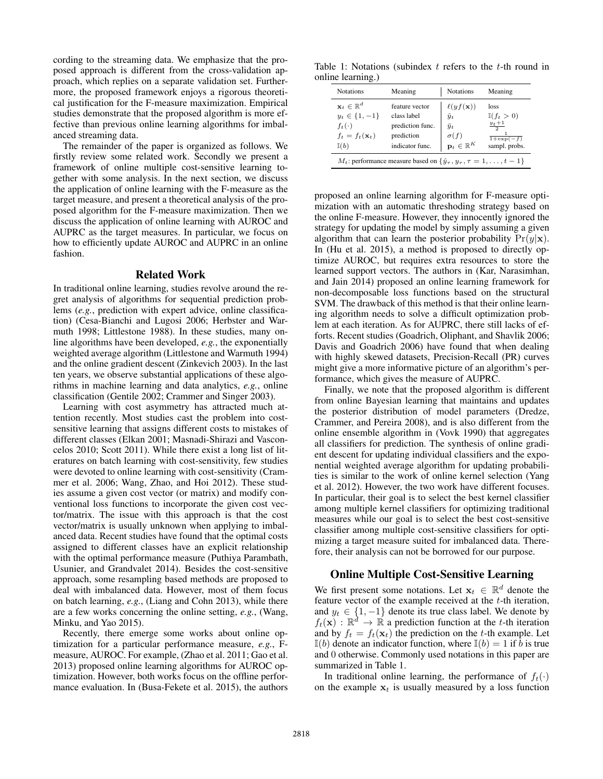cording to the streaming data. We emphasize that the proposed approach is different from the cross-validation approach, which replies on a separate validation set. Furthermore, the proposed framework enjoys a rigorous theoretical justification for the F-measure maximization. Empirical studies demonstrate that the proposed algorithm is more effective than previous online learning algorithms for imbalanced streaming data.

The remainder of the paper is organized as follows. We firstly review some related work. Secondly we present a framework of online multiple cost-sensitive learning together with some analysis. In the next section, we discuss the application of online learning with the F-measure as the target measure, and present a theoretical analysis of the proposed algorithm for the F-measure maximization. Then we discuss the application of online learning with AUROC and AUPRC as the target measures. In particular, we focus on how to efficiently update AUROC and AUPRC in an online fashion.

### Related Work

In traditional online learning, studies revolve around the regret analysis of algorithms for sequential prediction problems (*e.g.*, prediction with expert advice, online classification) (Cesa-Bianchi and Lugosi 2006; Herbster and Warmuth 1998; Littlestone 1988). In these studies, many online algorithms have been developed, *e.g.*, the exponentially weighted average algorithm (Littlestone and Warmuth 1994) and the online gradient descent (Zinkevich 2003). In the last ten years, we observe substantial applications of these algorithms in machine learning and data analytics, *e.g.*, online classification (Gentile 2002; Crammer and Singer 2003).

Learning with cost asymmetry has attracted much attention recently. Most studies cast the problem into costsensitive learning that assigns different costs to mistakes of different classes (Elkan 2001; Masnadi-Shirazi and Vasconcelos 2010; Scott 2011). While there exist a long list of literatures on batch learning with cost-sensitivity, few studies were devoted to online learning with cost-sensitivity (Crammer et al. 2006; Wang, Zhao, and Hoi 2012). These studies assume a given cost vector (or matrix) and modify conventional loss functions to incorporate the given cost vector/matrix. The issue with this approach is that the cost vector/matrix is usually unknown when applying to imbalanced data. Recent studies have found that the optimal costs assigned to different classes have an explicit relationship with the optimal performance measure (Puthiya Parambath, Usunier, and Grandvalet 2014). Besides the cost-sensitive approach, some resampling based methods are proposed to deal with imbalanced data. However, most of them focus on batch learning, *e.g.*, (Liang and Cohn 2013), while there are a few works concerning the online setting, *e.g.*, (Wang, Minku, and Yao 2015).

Recently, there emerge some works about online optimization for a particular performance measure, *e.g.*, Fmeasure, AUROC. For example, (Zhao et al. 2011; Gao et al. 2013) proposed online learning algorithms for AUROC optimization. However, both works focus on the offline performance evaluation. In (Busa-Fekete et al. 2015), the authors

Table 1: Notations (subindex  $t$  refers to the  $t$ -th round in online learning.)

| <b>Notations</b>                                                                                                       | Meaning                                                                            | <b>Notations</b>                                                                                       | Meaning                                                                             |  |  |  |
|------------------------------------------------------------------------------------------------------------------------|------------------------------------------------------------------------------------|--------------------------------------------------------------------------------------------------------|-------------------------------------------------------------------------------------|--|--|--|
| $\mathbf{x}_t \in \mathbb{R}^d$<br>$y_t \in \{1, -1\}$<br>$f_t(\cdot)$<br>$f_t = f_t(\mathbf{x}_t)$<br>$\mathbb{I}(b)$ | feature vector<br>class label<br>prediction func.<br>prediction<br>indicator func. | $\ell(yf(\mathbf{x}))$<br>$\hat{y}_t$<br>$\bar{y}_t$<br>$\sigma(f)$<br>$\mathbf{p}_t \in \mathbb{R}^K$ | loss<br>$\mathbb{I}(f_t>0)$<br>$\frac{y_t+1}{2}$<br>$1 + \exp(-f)$<br>sampl. probs. |  |  |  |
| $M_t$ : performance measure based on $\{\hat{y}_\tau, y_\tau, \tau = 1, \ldots, t-1\}$                                 |                                                                                    |                                                                                                        |                                                                                     |  |  |  |

proposed an online learning algorithm for F-measure optimization with an automatic threshoding strategy based on the online F-measure. However, they innocently ignored the strategy for updating the model by simply assuming a given algorithm that can learn the posterior probability  $Pr(y|\mathbf{x})$ . In (Hu et al. 2015), a method is proposed to directly optimize AUROC, but requires extra resources to store the learned support vectors. The authors in (Kar, Narasimhan, and Jain 2014) proposed an online learning framework for non-decomposable loss functions based on the structural SVM. The drawback of this method is that their online learning algorithm needs to solve a difficult optimization problem at each iteration. As for AUPRC, there still lacks of efforts. Recent studies (Goadrich, Oliphant, and Shavlik 2006; Davis and Goadrich 2006) have found that when dealing with highly skewed datasets, Precision-Recall (PR) curves might give a more informative picture of an algorithm's performance, which gives the measure of AUPRC.

Finally, we note that the proposed algorithm is different from online Bayesian learning that maintains and updates the posterior distribution of model parameters (Dredze, Crammer, and Pereira 2008), and is also different from the online ensemble algorithm in (Vovk 1990) that aggregates all classifiers for prediction. The synthesis of online gradient descent for updating individual classifiers and the exponential weighted average algorithm for updating probabilities is similar to the work of online kernel selection (Yang et al. 2012). However, the two work have different focuses. In particular, their goal is to select the best kernel classifier among multiple kernel classifiers for optimizing traditional measures while our goal is to select the best cost-sensitive classifier among multiple cost-sensitive classifiers for optimizing a target measure suited for imbalanced data. Therefore, their analysis can not be borrowed for our purpose.

## Online Multiple Cost-Sensitive Learning

We first present some notations. Let  $x_t \in \mathbb{R}^d$  denote the feature vector of the example received at the  $t$ -th iteration, and  $y_t \in \{1, -1\}$  denote its true class label. We denote by  $f_t(\mathbf{x}) : \mathbb{R}^d \to \mathbb{R}$  a prediction function at the t-th iteration and by  $f_t = f_t(\mathbf{x}_t)$  the prediction on the t-th example. Let  $\mathbb{I}(b)$  denote an indicator function, where  $\mathbb{I}(b)=1$  if b is true and 0 otherwise. Commonly used notations in this paper are summarized in Table 1.

In traditional online learning, the performance of  $f_t(\cdot)$ on the example  $x_t$  is usually measured by a loss function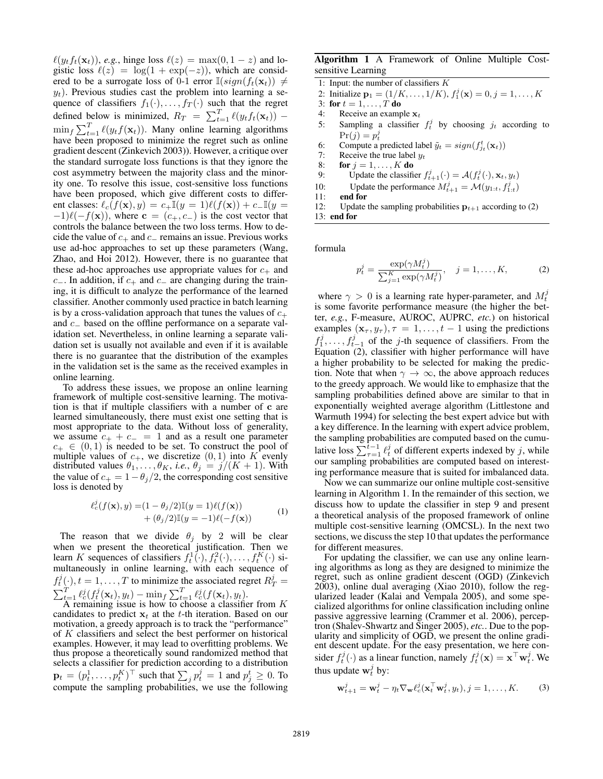$\epsilon$ (gistic loss  $\ell(z) = \log(1 + \exp(-z))$ , which are considered to be a surrogate loss of 0-1 error  $\mathbb{I}(\sin(t_1(\mathbf{x})) \neq 0$  $(y_t f_t(\mathbf{x}_t))$ , *e.g.*, hinge loss  $\ell(z) = \max(0, 1 - z)$  and lo-<br>istic loss  $\ell(z) = \log(1 + \exp(-z))$  which are considered to be a surrogate loss of 0-1 error  $\mathbb{I}(sign(f_t(\mathbf{x}_t))) \neq$  $y_t$ ). Previous studies cast the problem into learning a sequence of classifiers  $f_1(\cdot), \ldots, f_T(\cdot)$  such that the regret defined below is minimized,  $R_T = \sum_{t=1}^T \ell(y_t f_t(\mathbf{x}_t))$  $t=1$   $\frac{\ell}{\ell}$  $\min_f \sum_{t=1}^T \ell(y_t f(\mathbf{x}_t))$ . Many online learning algorithms<br>have been proposed to minimize the regret such as online  $\min_f \sum_{t=1} \ell(y_t f(\mathbf{x}_t))$ . Many online learning algorithms<br>have been proposed to minimize the regret such as online gradient descent (Zinkevich 2003)). However, a critique over the standard surrogate loss functions is that they ignore the cost asymmetry between the majority class and the minority one. To resolve this issue, cost-sensitive loss functions have been proposed, which give different costs to different classes:  $\ell_c(f(\mathbf{x}), y) = c_+\mathbb{I}(y = 1)\ell(f(\mathbf{x})) + c_-\mathbb{I}(y = -1)\ell(-f(\mathbf{x}))$  where  $\mathbf{c} = (c_+, c_-)$  is the cost vector that  $(-1)\ell(-f(\mathbf{x}))$ , where  $\mathbf{c} = (c_+, c_-)$  is the cost vector that controls the balance between the two loss terms. How to decontrols the balance between the two loss terms. How to decide the value of  $c_+$  and  $c_-\$  remains an issue. Previous works use ad-hoc approaches to set up these parameters (Wang, Zhao, and Hoi 2012). However, there is no guarantee that these ad-hoc approaches use appropriate values for  $c_{+}$  and c $c_$ . In addition, if  $c_+$  and  $c_$  are changing during the training, it is difficult to analyze the performance of the learned classifier. Another commonly used practice in batch learning is by a cross-validation approach that tunes the values of  $c_{+}$ and <sup>c</sup><sup>−</sup> based on the offline performance on a separate validation set. Nevertheless, in online learning a separate validation set is usually not available and even if it is available there is no guarantee that the distribution of the examples in the validation set is the same as the received examples in online learning.

To address these issues, we propose an online learning framework of multiple cost-sensitive learning. The motivation is that if multiple classifiers with a number of **c** are learned simultaneously, there must exist one setting that is most appropriate to the data. Without loss of generality, we assume  $c_+ + c_- = 1$  and as a result one parameter  $c_+ \in (0,1)$  is needed to be set. To construct the pool of multiple values of  $c_{+}$ , we discretize  $(0, 1)$  into K evenly distributed values  $\theta_1, \ldots, \theta_K$ , *i.e.*,  $\theta_j = j/(K + 1)$ . With the value of  $c_{+} = 1 - \theta_{j}/2$ , the corresponding cost sensitive loss is denoted by

j

$$
\ell_c^j(f(\mathbf{x}), y) = (1 - \theta_j/2)\mathbb{I}(y = 1)\ell(f(\mathbf{x})) + (\theta_j/2)\mathbb{I}(y = -1)\ell(-f(\mathbf{x}))
$$
 (1)

The reason that we divide  $\theta_i$  by 2 will be clear when we present the theoretical justification. Then we learn K sequences of classifiers  $f_t^1(\cdot), f_t^2(\cdot), \ldots, f_t^K(\cdot)$  si-<br>multaneously in online learning with each sequence of multaneously in online learning, with each sequence of  $f_t^j(\cdot), t = 1, \ldots, T$  to minimize the associated regret  $R_T^j = \sum_{t=1}^T \ell_c^j(f(\mathbf{x}_t), y_t) - \min_f \sum_{t=1}^T \ell_c^j(f(\mathbf{x}_t), y_t).$ <br>A remaining issue is how to choose a classifier from K

A remaining issue is how to choose a classifier from K ndidates to predict  $\mathbf{x}_t$  at the t-th iteration. Based on our candidates to predict  $x_t$  at the t-th iteration. Based on our motivation, a greedy approach is to track the "performance" of K classifiers and select the best performer on historical examples. However, it may lead to overfitting problems. We thus propose a theoretically sound randomized method that selects a classifier for prediction according to a distribution  $\mathbf{p}_t = (p_t^1, \dots, p_t^K)^\top$  such that  $\sum_j p_t^j = 1$  and  $p_j^t \geq 0$ . To compute the sampling probabilities, we use the following compute the sampling probabilities, we use the following

### Algorithm 1 A Framework of Online Multiple Costsensitive Learning

- 1: Input: the number of classifiers K
- 2: Initialize  $\mathbf{p}_1 = (1/K, ..., 1/K), f_1^j(\mathbf{x}) = 0, j = 1, ..., K$ <br>3: for  $t = 1$  T do
- 3: for  $t = 1, ..., T$  do<br>4: Receive an examp
- Receive an example  $x_t$
- 5: Sampling a classifier  $f_t^j$  by choosing  $j_t$  according to  $Pr(j) = m^j$  $Pr(j) = p_t^j$ <br>Compute a
- 6: Compute a predicted label  $\tilde{y}_t = sign(f_{jt}^t(\mathbf{x}_t))$ <br>  $\tilde{y}_t = sign(f_{jt}^t(\mathbf{x}_t))$
- 7: Receive the true label  $y_t$ <br>8: **for**  $j = 1, ..., K$  **do**
- 8: **for**  $j = 1, ..., K$  **do**<br>9. **Undate the classificant**
- 9: Update the classifier  $f_{t+1}^j(\cdot) = \mathcal{A}(f_t^j(\cdot), \mathbf{x}_t, y_t)$
- 10: Update the performance  $M_{t+1}^j = \mathcal{M}(y_{1:t}, f_{1:t}^j)$ <br>11: end for
- 11: end for
- 12: Update the sampling probabilities  $\mathbf{p}_{t+1}$  according to (2) 13: end for

formula

$$
p_t^j = \frac{\exp(\gamma M_t^j)}{\sum_{j=1}^K \exp(\gamma M_t^j)}, \quad j = 1, \dots, K,
$$
 (2)

where  $\gamma > 0$  is a learning rate hyper-parameter, and  $M_t^j$ <br>s some favorite performance measure (the higher the betis some favorite performance measure (the higher the better, *e.g.*, F-measure, AUROC, AUPRC, *etc.*) on historical examples  $(\mathbf{x}_{\tau}, y_{\tau}), \tau = 1, \ldots, t - 1$  using the predictions  $f_1^j, \ldots, f_{t-1}^j$  of the *j*-th sequence of classifiers. From the Fouation (2) classifier with higher performance will have Equation (2), classifier with higher performance will have a higher probability to be selected for making the prediction. Note that when  $\gamma \to \infty$ , the above approach reduces to the greedy approach. We would like to emphasize that the sampling probabilities defined above are similar to that in exponentially weighted average algorithm (Littlestone and Warmuth 1994) for selecting the best expert advice but with a key difference. In the learning with expert advice problem, the sampling probabilities are computed based on the cumulative loss  $\sum_{\tau=1}^{t-1} \ell_t^j$  of different experts indexed by j, while<br>our sampling probabilities are computed based on interestour sampling probabilities are computed based on interesting performance measure that is suited for imbalanced data.

Now we can summarize our online multiple cost-sensitive learning in Algorithm 1. In the remainder of this section, we discuss how to update the classifier in step 9 and present a theoretical analysis of the proposed framework of online multiple cost-sensitive learning (OMCSL). In the next two sections, we discuss the step 10 that updates the performance for different measures.

For updating the classifier, we can use any online learning algorithms as long as they are designed to minimize the regret, such as online gradient descent (OGD) (Zinkevich 2003), online dual averaging (Xiao 2010), follow the regularized leader (Kalai and Vempala 2005), and some specialized algorithms for online classification including online passive aggressive learning (Crammer et al. 2006), perceptron (Shalev-Shwartz and Singer 2005), *etc.*. Due to the popularity and simplicity of OGD, we present the online gradient descent update. For the easy presentation, we here consider  $f_t^j(\cdot)$  as a linear function, namely  $f_t^j(\mathbf{x}) = \mathbf{x}^\top \mathbf{w}_t^j$ . We thus update  $\mathbf{w}_t^j$  by:

$$
\mathbf{w}_{t+1}^j = \mathbf{w}_t^j - \eta_t \nabla_{\mathbf{w}} \ell_c^j(\mathbf{x}_t^{\top} \mathbf{w}_t^j, y_t), j = 1, \dots, K.
$$
 (3)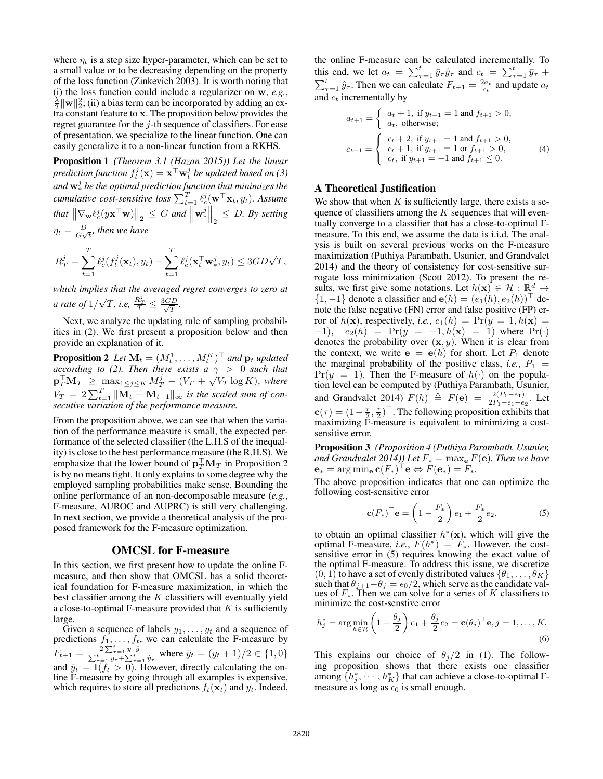where  $\eta_t$  is a step size hyper-parameter, which can be set to a small value or to be decreasing depending on the property of the loss function (Zinkevich 2003). It is worth noting that (i) the loss function could include a regularizer on **<sup>w</sup>**, *e.g.*, <sup>λ</sup>  $\frac{\lambda}{2} \|\mathbf{w}\|_2^2$ ; (ii) a bias term can be incorporated by adding an extra constant feature to **x**. The proposition below provides the regret guarantee for the  $j$ -th sequence of classifiers. For ease of presentation, we specialize to the linear function. One can easily generalize it to a non-linear function from a RKHS.

Proposition 1 *(Theorem 3.1 (Hazan 2015)) Let the linear* prediction function  $f_t^j(\mathbf{x}) = \mathbf{x}^\top \mathbf{w}_t^j$  be updated based on (3)<br>and  $\mathbf{w}^j$  be the optimal prediction function that minimizes the *and* **<sup>w</sup>**<sup>j</sup> <sup>∗</sup> *be the optimal prediction function that minimizes the cumulative cost-sensitive loss*  $\sum_{t=1}^{T} \ell_c^j(\mathbf{w}^\top \mathbf{x}_t, y_t)$ *. Assume*  $\int_{\mathbb{R}^d} \mathbb{E} \left[ \nabla_{\mathbf{w}} \ell_c^j(y \mathbf{x}^\top \mathbf{w}) \right] \bigg|_2 \leq G \text{ and } \overline{\left\| \mathbf{w}_*^j \right\|_2^2}$  $\left\| \right\|_2 \leq D.$  By setting  $\eta_t = \frac{D}{G\sqrt{t}}$ , then we have

$$
R_T^j = \sum_{t=1}^T \ell_c^j(f_t^j(\mathbf{x}_t), y_t) - \sum_{t=1}^T \ell_c^j(\mathbf{x}_t^{\top} \mathbf{w}_*^j, y_t) \leq 3GD\sqrt{T},
$$

*which implies that the averaged regret converges to zero at a rate of* 1/  $\sqrt{T}$ , *i.e,*  $\frac{R_T^j}{T} \leq \frac{3GD}{\sqrt{T}}$ .

Next, we analyze the updating rule of sampling probabilities in (2). We first present a proposition below and then provide an explanation of it.

**Proposition 2** Let  $\mathbf{M}_t = (M_t^1, \dots, M_t^K)^{\top}$  and  $\mathbf{p}_t$  *updated according to (2)* Then there exists  $a \sim 0$  such that *according to (2). Then there exists a*  $\gamma > 0$  *such that*  $\mathbf{p}_T^{\top} \mathbf{M}_T \ge \max_{1 \le j \le K} M_T^j - (V_T + \sqrt{V_T \log K})$ , where  $V_T = 2\sum_{t=1}^T \|\mathbf{M}_t - \mathbf{M}_{t-1}\|_{\infty}$  is the scaled sum of consecutive variation of the performance measure.

From the proposition above, we can see that when the variation of the performance measure is small, the expected performance of the selected classifier (the L.H.S of the inequality) is close to the best performance measure (the R.H.S). We emphasize that the lower bound of  $\mathbf{p}_T^{\top} \mathbf{M}_T$  in Proposition 2 is by no means tight. It only explains to some degree why the employed sampling probabilities make sense. Bounding the online performance of an non-decomposable measure (*e.g.*, F-measure, AUROC and AUPRC) is still very challenging. In next section, we provide a theoretical analysis of the proposed framework for the F-measure optimization.

### OMCSL for F-measure

In this section, we first present how to update the online Fmeasure, and then show that OMCSL has a solid theoretical foundation for F-measure maximization, in which the best classifier among the  $K$  classifiers will eventually yield a close-to-optimal F-measure provided that  $K$  is sufficiently

large.<br>Given a sequence of labels  $y_1, \ldots, y_t$  and a sequence of Given a sequence of labels  $y_1, \ldots, y_t$  and a sequence of edictions  $f_1, \ldots, f_t$ , we can calculate the F-measure by predictions  $f_1, \ldots, f_t$ , we can calculate the F-measure by  $F_{t+1} = \frac{2 \sum_{\tau=1}^{t} \bar{y}_{\tau} \hat{y}_{\tau}}{\sum_{\tau=1}^{t} \bar{y}_{\tau} + \sum_{\tau=1}^{t} \hat{y}_{\tau}}$  where  $\bar{y}_{t} = (y_{t} + 1)/2 \in \{1, 0\}$ and  $\hat{y}_t = \mathbb{I}(f_t > 0)$ . However, directly calculating the on-<br>line F-measure by going through all examples is expensive. line F-measure by going through all examples is expensive, which requires to store all predictions  $f_t(\mathbf{x}_t)$  and  $y_t$ . Indeed,

the online F-measure can be calculated incrementally. To this end, we let  $a_t = \sum_{\tau=1}^t \bar{y}_\tau \hat{y}_\tau$  and  $c_t = \sum_{\tau=1}^t \bar{y}_\tau + \sum_{\tau=1}^t \hat{y}_\tau$ . Then we can calculate  $F_{t+1} = \frac{2a_t}{c_t}$  and update  $a_t$  and  $c_t$  incrementally by and  $c_t$  incrementally by

$$
a_{t+1} = \begin{cases} a_t + 1, \text{ if } y_{t+1} = 1 \text{ and } f_{t+1} > 0, \\ a_t, \text{ otherwise;} \end{cases}
$$
  
\n
$$
c_{t+1} = \begin{cases} c_t + 2, \text{ if } y_{t+1} = 1 \text{ and } f_{t+1} > 0, \\ c_t + 1, \text{ if } y_{t+1} = 1 \text{ or } f_{t+1} > 0, \\ c_t, \text{ if } y_{t+1} = -1 \text{ and } f_{t+1} \le 0. \end{cases}
$$
(4)

# A Theoretical Justification

We show that when  $K$  is sufficiently large, there exists a sequence of classifiers among the  $K$  sequences that will eventually converge to a classifier that has a close-to-optimal Fmeasure. To this end, we assume the data is i.i.d. The analysis is built on several previous works on the F-measure maximization (Puthiya Parambath, Usunier, and Grandvalet 2014) and the theory of consistency for cost-sensitive surrogate loss minimization (Scott 2012). To present the results, we first give some notations. Let  $h(\mathbf{x}) \in \mathcal{H} : \mathbb{R}^d \to$ {1, −1} denote a classifier and **e**(h) =  $(e_1(h), e_2(h))$ <sup>T</sup> denote the false negative (FN) error and false positive (FP) error of  $h(\mathbf{x})$ , respectively, *i.e.*,  $e_1(h) = Pr(y = 1, h(\mathbf{x}))$  $(-1)$ ,  $e_2(h) = Pr(y = -1, h(x) = 1)$  where  $Pr(\cdot)$ denotes the probability over  $(x, y)$ . When it is clear from the context, we write  $e = e(h)$  for short. Let  $P_1$  denote the marginal probability of the positive class, *i.e.*,  $P_1$  =  $Pr(y = 1)$ . Then the F-measure of  $h(\cdot)$  on the population level can be computed by (Puthiya Parambath, Usunier, and Grandvalet 2014)  $F(h) \triangleq F(e) = \frac{2(P_1-e_1)}{2P_1-e_1+e_2}$ . Let  $\mathbf{c}(\tau) = (1 - \frac{\tau}{2}, \frac{\tau}{2})^\top$ . The following proposition exhibits that maximizing  $\overline{F}$ -measure is equivalent to minimizing a costmaximizing F-measure is equivalent to minimizing a costsensitive error.

Proposition 3 *(Proposition 4 (Puthiya Parambath, Usunier, and Grandvalet 2014)) Let*  $F_* = \max_{\mathbf{e}} F(\mathbf{e})$ *. Then we have*  $\mathbf{e}_* = \arg \min_{\mathbf{e}} \mathbf{c}(F_*)^\top \mathbf{e} \Leftrightarrow F(\mathbf{e}_*) = F_*$ .

The above proposition indicates that one can optimize the following cost-sensitive error

$$
\mathbf{c}(F_*)^\top \mathbf{e} = \left(1 - \frac{F_*}{2}\right) e_1 + \frac{F_*}{2} e_2,\tag{5}
$$

to obtain an optimal classifier  $h^*(\mathbf{x})$ , which will give the cost-<br>optimal F-measure, *i.e.*,  $F(h^*) = F_*$ . However, the costoptimal F-measure, *i.e.*,  $F(h^*) = F_*$ . However, the cost-<br>sensitive error in (5) requires knowing the exact value of sensitive error in (5) requires knowing the exact value of the optimal F-measure. To address this issue, we discretize  $(0, 1)$  to have a set of evenly distributed values  $\{\theta_1, \ldots, \theta_K\}$ such that  $\theta_{j+1} - \theta_j = \epsilon_0/2$ , which serve as the candidate values of  $F_{\infty}$ . Then we can solve for a series of K classifiers to ues of  $F_*$ . Then we can solve for a series of K classifiers to minimize the cost-senstive error minimize the cost-senstive error

$$
h_j^* = \arg\min_{h \in \mathcal{H}} \left(1 - \frac{\theta_j}{2}\right) e_1 + \frac{\theta_j}{2} e_2 = \mathbf{c}(\theta_j)^\top \mathbf{e}, j = 1, \dots, K.
$$
\n
$$
(6)
$$

This explains our choice of  $\theta_j/2$  in (1). The following proposition shows that there exists one classifier among  $\{h_j^*, \dots, h_K^*\}$  that can achieve a close-to-optimal F-<br>measure as long as  $\epsilon_0$  is small enough measure as long as  $\epsilon_0$  is small enough.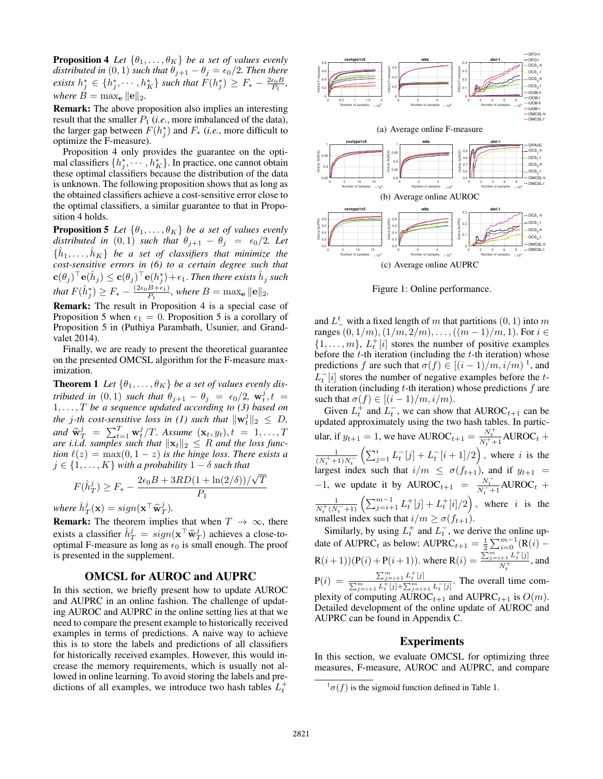**Proposition 4** *Let*  $\{\theta_1, \ldots, \theta_K\}$  *be a set of values evenly distributed in*  $(0, 1)$  *such that*  $\theta_{j+1} - \theta_j = \epsilon_0/2$ *. Then there exists*  $h_j^* \in \{h_j^*, \dots, h_K^*\}$  *such that*  $F(h_j^*) \geq F_* - \frac{2\epsilon_0 B}{P_1}$ , *where*  $B = \max_{\mathbf{e}} ||\mathbf{e}||_2$ .

Remark: The above proposition also implies an interesting result that the smaller  $P_1$  (*i.e.*, more imbalanced of the data), the larger gap between  $F(h_j^*)$  and  $F_*$  (*i.e.*, more difficult to optimize the F-measure) optimize the F-measure).

Proposition 4 only provides the guarantee on the optimal classifiers  $\{h_j^*, \dots, h_K^*\}$ . In practice, one cannot obtain these optimal classifiers because the distribution of the data these optimal classifiers because the distribution of the data is unknown. The following proposition shows that as long as the obtained classifiers achieve a cost-sensitive error close to the optimal classifiers, a similar guarantee to that in Proposition 4 holds.

**Proposition 5** *Let*  $\{\theta_1, \ldots, \theta_K\}$  *be a set of values evenly distributed in* (0, 1) *such that*  $\theta_{i+1} = \theta_i = \epsilon_0/2$  *Let distributed in* (0, 1) *such that*  $\theta_{j+1} - \theta_j = \epsilon_0/2$ *. Let*  $\{h_1, \ldots, h_K\}$  *be a set of classifiers that minimize the cost-sensitive errors in (6) to a certain degree such that*  $\mathbf{c}(\theta_j) \cdot \mathbf{e}(h_j) \leq \mathbf{c}(\theta_j) \cdot \mathbf{e}(h_j^*) + \epsilon_1$ . Then there exists  $h_j$  such *that*  $F(\hat{h}_j^*) \geq F_* - \frac{(2\epsilon_0 B + \epsilon_1)}{P_1}$ , where  $B = \max_{\mathbf{e}} \|\mathbf{e}\|_2$ .

Remark: The result in Proposition 4 is a special case of Proposition 5 when  $\epsilon_1 = 0$ . Proposition 5 is a corollary of Proposition 5 in (Puthiya Parambath, Usunier, and Grandvalet 2014).

Finally, we are ready to present the theoretical guarantee on the presented OMCSL algorithm for the F-measure maximization.

**Theorem 1** Let  $\{\theta_1, \ldots, \theta_K\}$  be a set of values evenly dis*tributed in*  $(0, 1)$  *such that*  $\theta_{j+1} - \theta_j = \epsilon_0/2$ ,  $\mathbf{w}_t^j$ ,  $t = 1, \ldots, T$  *be a sequence updated according to (3) based on* the *a th* cost sensitive loss in (1) such that  $\|\mathbf{w}_t^j\|_s < D$ *the j*-th cost-sensitive loss in (1) such that  $\|\mathbf{w}_t^j\|_2 \leq D$ ,<br>and  $\hat{\mathbf{w}}_t^j = \sum_{i=1}^T \mathbf{w}_t^j / T$ . Assume  $(\mathbf{x}, \mathbf{w})$ ,  $t = 1$ and  $\hat{\mathbf{w}}_T^j = \sum_{t=1}^T \mathbf{w}_t^j / T$ . Assume  $(\mathbf{x}_t, y_t), t = 1, \ldots, T$ <br>are i.i.d. samples such that  $\|\mathbf{x}_t\|_2 \leq R$  and the loss func*are i.i.d. samples such that*  $\|\mathbf{x}_t\|_2 \leq R$  *and the loss function*  $\ell(z) = \max(0, 1-z)$  *is the hinge loss. There exists a tion*  $\ell(z) = \max(0, 1 - z)$  *is the hinge loss. There exists a*  $i \in \{1, ..., K\}$  with a probability  $1 - \delta$  such that  $j \in \{1, \ldots, K\}$  *with a probability*  $1 - \delta$  *such that* √

$$
F(\hat{h}_T^j) \ge F_* - \frac{2\epsilon_0 B + 3RD(1 + \ln(2/\delta))/\sqrt{T}}{P_1}
$$

*where*  $\hat{h}_T^j(\mathbf{x}) = sign(\mathbf{x}^\top \hat{\mathbf{w}}_T^j)$ .<br>**Permanic** The theorem implies

**Remark:** The theorem implies that when  $T \rightarrow \infty$ , there exists a classifier  $\hat{h}^j_T = sign(\mathbf{x}^\top \hat{\mathbf{w}}^j_T)$  achieves a close-to-<br>optimal E-measure as long as  $\epsilon_0$  is small enough. The proof optimal F-measure as long as  $\epsilon_0$  is small enough. The proof is presented in the supplement.

### OMCSL for AUROC and AUPRC

In this section, we briefly present how to update AUROC and AUPRC in an online fashion. The challenge of updating AUROC and AUPRC in the online setting lies at that we need to compare the present example to historically received examples in terms of predictions. A naive way to achieve this is to store the labels and predictions of all classifiers for historically received examples. However, this would increase the memory requirements, which is usually not allowed in online learning. To avoid storing the labels and predictions of all examples, we introduce two hash tables  $L_t^+$ 



Figure 1: Online performance.

and  $L^t$  with a fixed length of m that partitions  $(0, 1)$  into m<br>ranges  $(0, 1/m)$   $(1/m, 2/m)$   $((m-1)/m, 1)$  For  $i \in$ ranges  $(0, 1/m)$ ,  $(1/m, 2/m)$ , ...,  $((m − 1)/m, 1)$ . For  $i ∈$  $\{1,\ldots,m\}$ ,  $L_t^+[i]$  stores the number of positive examples<br>before the *t*-th iteration (including the *t*-th iteration) whose before the  $t$ -th iteration (including the  $t$ -th iteration) whose predictions f are such that  $\sigma(f) \in [(i-1)/m, i/m)^{-1}$ , and  $L_t^{-}[i]$  stores the number of negative examples before the t-<br>th iteration (including t-th iteration) whose predictions f are th iteration (including  $t$ -th iteration) whose predictions  $f$  are such that  $\sigma(f) \in [(i-1)/m, i/m)$ .

Given  $L_t^+$  and  $L_t^-$ , we can show that AUROC<sub>t+1</sub> can be dated approximately using the two bash tables. In partic-Given  $L_t^+$  and  $L_t^-$ , we can show that AUROC<sub>t+1</sub> can be updated approximately using the two hash tables. In particular, if  $y_{t+1} = 1$ , we have  $\text{AUROC}_{t+1} = \frac{N_t^+}{N_t^+ + 1} \text{AUROC}_t + \frac{1}{(N_t^+ + 1)N_t^-} \left( \sum_{j=1}^i L_t^- [j] + L_t^- [i+1]/2 \right)$ , where *i* is the ), where i is the largest index such that  $i/m \leq \sigma(f_{t+1})$ , and if  $y_{t+1} =$ -1, we update it by AUROC<sub>t+1</sub> =  $\frac{N_t^-}{N_t^-+1}$ AUROC<sub>t</sub> +<br>  $\frac{1}{N_t^+(N_t^-+1)}$   $\left(\sum_{j=i+1}^{m-1} L_t^+[j] + L_t^+[i]/2\right)$ , where *i* is the ), where i is the smallest index such that  $i/m \ge \sigma(f_{t+1})$ .<br>Similarly, by using  $I^+$  and  $I^-$  we do

Similarly, by using  $L_t^+$  and  $L_t^-$ , we derive the online up-<br>to of AUPPC, as below: AUPPC,  $-1 \sum_{m=1}^{m-1} (P(\lambda))$ date of AUPRC<sub>t</sub> as below: AUPRC<sub>t+1</sub> =  $\frac{1}{2} \sum_{i=0}^{m-1} (R(i) R(i+1))(P(i) + P(i+1))$ . where  $R(i) = \frac{\sum_{j=i+1}^{m} L_t^+[j]}{N_t^+}$  $\frac{N_t+1}{N_t+1}$ , and t  $P(i) = \frac{\sum_{j=i+1}^{m} L_t^+ [j]}{\sum_{j=i+1}^{m} L_t^+ [j] + \sum_{j=i}^{m}}$  $\frac{\sum_{j=i+1}^{n} L_t^+ [j] + \sum_{j=i+1}^{m} L_t^- [j]}{\sum_{j=i+1}^{m} L_t^+ [j] + \sum_{j=i+1}^{m} L_t^- [j]}$ . The overall time complexity of computing  $\text{AUROC}_{t+1}$  and  $\text{AUPRC}_{t+1}$  is  $O(m)$ .<br>Detailed development of the online undate of AUROC and Detailed development of the online update of AUROC and AUPRC can be found in Appendix C.

### Experiments

In this section, we evaluate OMCSL for optimizing three measures, F-measure, AUROC and AUPRC, and compare

 $\int_0^1 \sigma(f)$  is the sigmoid function defined in Table 1.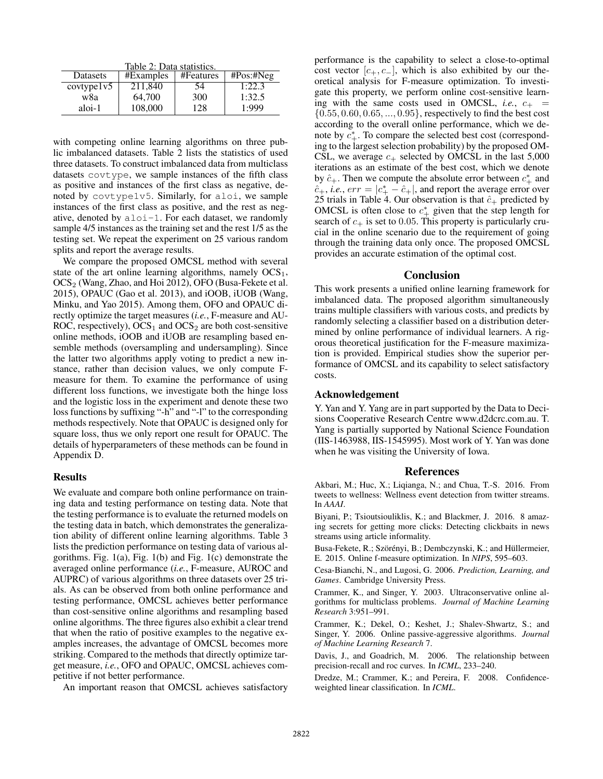Table 2: Data statistics.

| Datasets   | #Examples | #Features | $\text{\#Pos:}\# \text{Neg}$ |
|------------|-----------|-----------|------------------------------|
| covtype1v5 | 211,840   | 54        | 1:22.3                       |
| w8a        | 64,700    | 300       | 1:32.5                       |
| aloi-1     | 108,000   | 128       | 1:999                        |

with competing online learning algorithms on three public imbalanced datasets. Table 2 lists the statistics of used three datasets. To construct imbalanced data from multiclass datasets covtype, we sample instances of the fifth class as positive and instances of the first class as negative, denoted by covtype1v5. Similarly, for aloi, we sample instances of the first class as positive, and the rest as negative, denoted by  $a \text{loi-1}$ . For each dataset, we randomly sample 4/5 instances as the training set and the rest 1/5 as the testing set. We repeat the experiment on 25 various random splits and report the average results.

We compare the proposed OMCSL method with several state of the art online learning algorithms, namely  $OCS<sub>1</sub>$ , OCS<sub>2</sub> (Wang, Zhao, and Hoi 2012), OFO (Busa-Fekete et al. 2015), OPAUC (Gao et al. 2013), and iOOB, iUOB (Wang, Minku, and Yao 2015). Among them, OFO and OPAUC directly optimize the target measures (*i.e.*, F-measure and AU-ROC, respectively),  $OCS_1$  and  $OCS_2$  are both cost-sensitive online methods, iOOB and iUOB are resampling based ensemble methods (oversampling and undersampling). Since the latter two algorithms apply voting to predict a new instance, rather than decision values, we only compute Fmeasure for them. To examine the performance of using different loss functions, we investigate both the hinge loss and the logistic loss in the experiment and denote these two loss functions by suffixing "-h" and "-l" to the corresponding methods respectively. Note that OPAUC is designed only for square loss, thus we only report one result for OPAUC. The details of hyperparameters of these methods can be found in Appendix D.

## Results

We evaluate and compare both online performance on training data and testing performance on testing data. Note that the testing performance is to evaluate the returned models on the testing data in batch, which demonstrates the generalization ability of different online learning algorithms. Table 3 lists the prediction performance on testing data of various algorithms. Fig. 1(a), Fig. 1(b) and Fig. 1(c) demonstrate the averaged online performance (*i.e.*, F-measure, AUROC and AUPRC) of various algorithms on three datasets over 25 trials. As can be observed from both online performance and testing performance, OMCSL achieves better performance than cost-sensitive online algorithms and resampling based online algorithms. The three figures also exhibit a clear trend that when the ratio of positive examples to the negative examples increases, the advantage of OMCSL becomes more striking. Compared to the methods that directly optimize target measure, *i.e.*, OFO and OPAUC, OMCSL achieves competitive if not better performance.

An important reason that OMCSL achieves satisfactory

performance is the capability to select a close-to-optimal cost vector  $[c_{+}, c_{-}]$ , which is also exhibited by our theoretical analysis for F-measure optimization. To investigate this property, we perform online cost-sensitive learning with the same costs used in OMCSL, *i.e.*,  $c_{+}$  =  $\{0.55, 0.60, 0.65, ..., 0.95\}$ , respectively to find the best cost according to the overall online performance, which we denote by  $c^*_{+}$ . To compare the selected best cost (correspond-<br>ing to the largest selection probability) by the proposed OMing to the largest selection probability) by the proposed OM-CSL, we average  $c_{+}$  selected by OMCSL in the last 5,000 iterations as an estimate of the best cost, which we denote by  $\hat{c}_+$ . Then we compute the absolute error between  $c^*_{+}$  and  $\hat{c}_+$  is  $e^{-\rho}e^{-\rho} = |c^* - \hat{c}_+|$  and report the average error over  $\hat{c}_+$ , *i.e.*,  $err = |c^*_{+} - \hat{c}_+|$ , and report the average error over 25 trials in Table 4. Our observation is that  $\hat{c}_+$  predicted by 25 trials in Table 4. Our observation is that  $\hat{c}_+$  predicted by OMCSL is often close to  $c^*$  given that the step length for search of  $c_+$  is set to 0.05. This property is particularly crusearch of  $c_{+}$  is set to 0.05. This property is particularly crucial in the online scenario due to the requirement of going through the training data only once. The proposed OMCSL provides an accurate estimation of the optimal cost.

### Conclusion

This work presents a unified online learning framework for imbalanced data. The proposed algorithm simultaneously trains multiple classifiers with various costs, and predicts by randomly selecting a classifier based on a distribution determined by online performance of individual learners. A rigorous theoretical justification for the F-measure maximization is provided. Empirical studies show the superior performance of OMCSL and its capability to select satisfactory costs.

## Acknowledgement

Y. Yan and Y. Yang are in part supported by the Data to Decisions Cooperative Research Centre www.d2dcrc.com.au. T. Yang is partially supported by National Science Foundation (IIS-1463988, IIS-1545995). Most work of Y. Yan was done when he was visiting the University of Iowa.

#### References

Akbari, M.; Huc, X.; Liqianga, N.; and Chua, T.-S. 2016. From tweets to wellness: Wellness event detection from twitter streams. In *AAAI*.

Biyani, P.; Tsioutsiouliklis, K.; and Blackmer, J. 2016. 8 amazing secrets for getting more clicks: Detecting clickbaits in news streams using article informality.

Busa-Fekete, R.; Szörényi, B.; Dembczynski, K.; and Hüllermeier, E. 2015. Online f-measure optimization. In *NIPS*, 595–603.

Cesa-Bianchi, N., and Lugosi, G. 2006. *Prediction, Learning, and Games*. Cambridge University Press.

Crammer, K., and Singer, Y. 2003. Ultraconservative online algorithms for multiclass problems. *Journal of Machine Learning Research* 3:951–991.

Crammer, K.; Dekel, O.; Keshet, J.; Shalev-Shwartz, S.; and Singer, Y. 2006. Online passive-aggressive algorithms. *Journal of Machine Learning Research* 7.

Davis, J., and Goadrich, M. 2006. The relationship between precision-recall and roc curves. In *ICML*, 233–240.

Dredze, M.; Crammer, K.; and Pereira, F. 2008. Confidenceweighted linear classification. In *ICML*.